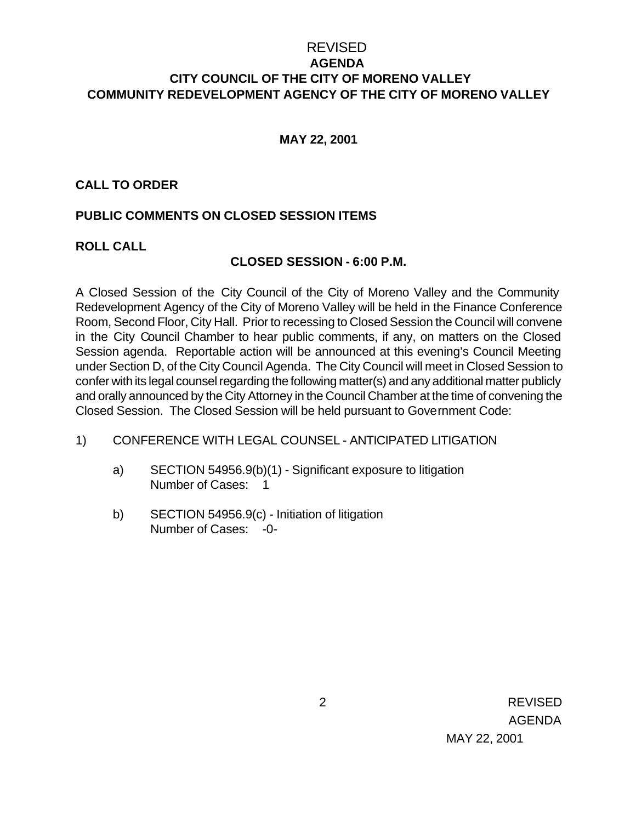## REVISED **AGENDA CITY COUNCIL OF THE CITY OF MORENO VALLEY COMMUNITY REDEVELOPMENT AGENCY OF THE CITY OF MORENO VALLEY**

### **MAY 22, 2001**

#### **CALL TO ORDER**

### **PUBLIC COMMENTS ON CLOSED SESSION ITEMS**

#### **ROLL CALL**

#### **CLOSED SESSION - 6:00 P.M.**

A Closed Session of the City Council of the City of Moreno Valley and the Community Redevelopment Agency of the City of Moreno Valley will be held in the Finance Conference Room, Second Floor, City Hall. Prior to recessing to Closed Session the Council will convene in the City Council Chamber to hear public comments, if any, on matters on the Closed Session agenda. Reportable action will be announced at this evening's Council Meeting under Section D, of the City Council Agenda. The City Council will meet in Closed Session to confer with its legal counsel regarding the following matter(s) and any additional matter publicly and orally announced by the City Attorney in the Council Chamber at the time of convening the Closed Session. The Closed Session will be held pursuant to Government Code:

#### 1) CONFERENCE WITH LEGAL COUNSEL - ANTICIPATED LITIGATION

- a) SECTION 54956.9(b)(1) Significant exposure to litigation Number of Cases: 1
- b) SECTION 54956.9(c) Initiation of litigation Number of Cases: -0-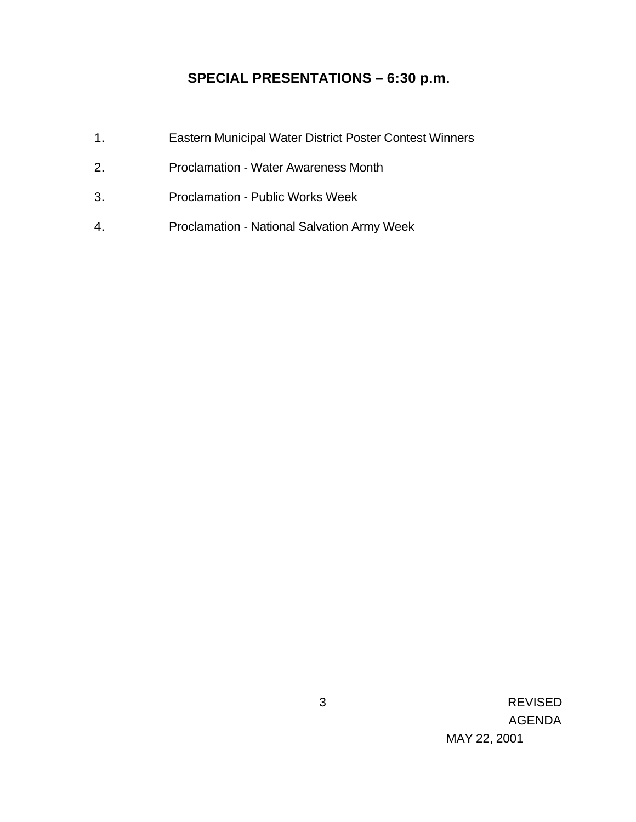# **SPECIAL PRESENTATIONS – 6:30 p.m.**

- 1. Eastern Municipal Water District Poster Contest Winners
- 2. Proclamation Water Awareness Month
- 3. Proclamation Public Works Week
- 4. Proclamation National Salvation Army Week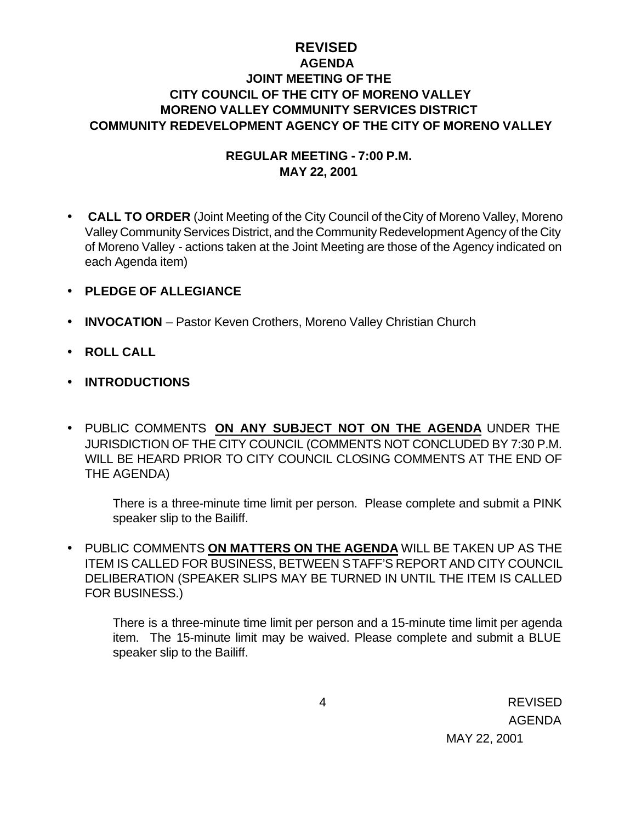## **REVISED AGENDA JOINT MEETING OF THE CITY COUNCIL OF THE CITY OF MORENO VALLEY MORENO VALLEY COMMUNITY SERVICES DISTRICT COMMUNITY REDEVELOPMENT AGENCY OF THE CITY OF MORENO VALLEY**

### **REGULAR MEETING - 7:00 P.M. MAY 22, 2001**

- • **CALL TO ORDER** (Joint Meeting of the City Council of the City of Moreno Valley, Moreno Valley Community Services District, and the Community Redevelopment Agency of the City of Moreno Valley - actions taken at the Joint Meeting are those of the Agency indicated on each Agenda item)
- **PLEDGE OF ALLEGIANCE**
- **INVOCATION** Pastor Keven Crothers, Moreno Valley Christian Church
- **ROLL CALL**
- **INTRODUCTIONS**
- PUBLIC COMMENTS **ON ANY SUBJECT NOT ON THE AGENDA** UNDER THE JURISDICTION OF THE CITY COUNCIL (COMMENTS NOT CONCLUDED BY 7:30 P.M. WILL BE HEARD PRIOR TO CITY COUNCIL CLOSING COMMENTS AT THE END OF THE AGENDA)

There is a three-minute time limit per person. Please complete and submit a PINK speaker slip to the Bailiff.

• PUBLIC COMMENTS **ON MATTERS ON THE AGENDA** WILL BE TAKEN UP AS THE ITEM IS CALLED FOR BUSINESS, BETWEEN STAFF'S REPORT AND CITY COUNCIL DELIBERATION (SPEAKER SLIPS MAY BE TURNED IN UNTIL THE ITEM IS CALLED FOR BUSINESS.)

There is a three-minute time limit per person and a 15-minute time limit per agenda item. The 15-minute limit may be waived. Please complete and submit a BLUE speaker slip to the Bailiff.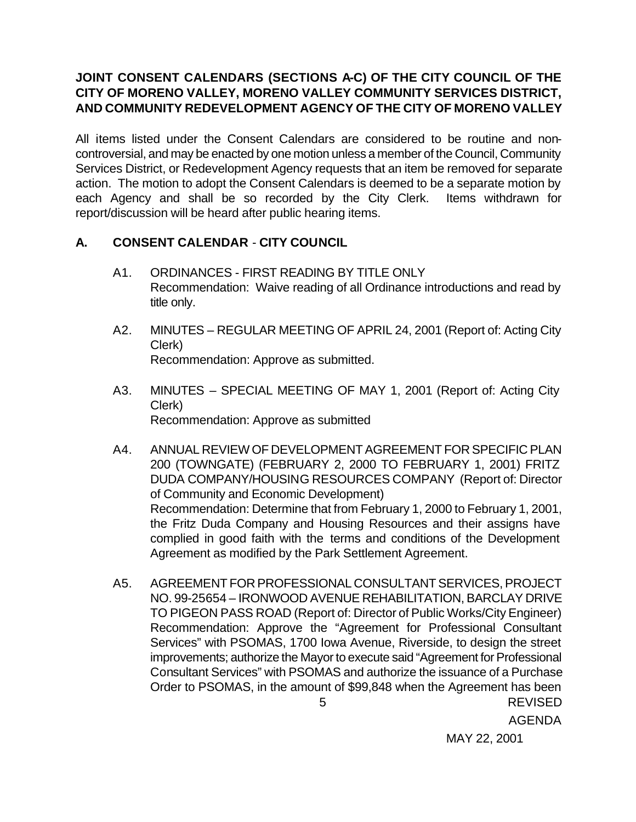## **JOINT CONSENT CALENDARS (SECTIONS A-C) OF THE CITY COUNCIL OF THE CITY OF MORENO VALLEY, MORENO VALLEY COMMUNITY SERVICES DISTRICT, AND COMMUNITY REDEVELOPMENT AGENCY OF THE CITY OF MORENO VALLEY**

All items listed under the Consent Calendars are considered to be routine and noncontroversial, and may be enacted by one motion unless a member of the Council, Community Services District, or Redevelopment Agency requests that an item be removed for separate action. The motion to adopt the Consent Calendars is deemed to be a separate motion by each Agency and shall be so recorded by the City Clerk. Items withdrawn for report/discussion will be heard after public hearing items.

## **A. CONSENT CALENDAR** - **CITY COUNCIL**

- A1. ORDINANCES FIRST READING BY TITLE ONLY Recommendation: Waive reading of all Ordinance introductions and read by title only.
- A2. MINUTES REGULAR MEETING OF APRIL 24, 2001 (Report of: Acting City Clerk) Recommendation: Approve as submitted.
- A3. MINUTES SPECIAL MEETING OF MAY 1, 2001 (Report of: Acting City Clerk) Recommendation: Approve as submitted
- A4. ANNUAL REVIEW OF DEVELOPMENT AGREEMENT FOR SPECIFIC PLAN 200 (TOWNGATE) (FEBRUARY 2, 2000 TO FEBRUARY 1, 2001) FRITZ DUDA COMPANY/HOUSING RESOURCES COMPANY (Report of: Director of Community and Economic Development) Recommendation: Determine that from February 1, 2000 to February 1, 2001, the Fritz Duda Company and Housing Resources and their assigns have complied in good faith with the terms and conditions of the Development Agreement as modified by the Park Settlement Agreement.
- 5 REVISED A5. AGREEMENT FOR PROFESSIONAL CONSULTANT SERVICES, PROJECT NO. 99-25654 – IRONWOOD AVENUE REHABILITATION, BARCLAY DRIVE TO PIGEON PASS ROAD (Report of: Director of Public Works/City Engineer) Recommendation: Approve the "Agreement for Professional Consultant Services" with PSOMAS, 1700 Iowa Avenue, Riverside, to design the street improvements; authorize the Mayor to execute said "Agreement for Professional Consultant Services" with PSOMAS and authorize the issuance of a Purchase Order to PSOMAS, in the amount of \$99,848 when the Agreement has been

AGENDA

MAY 22, 2001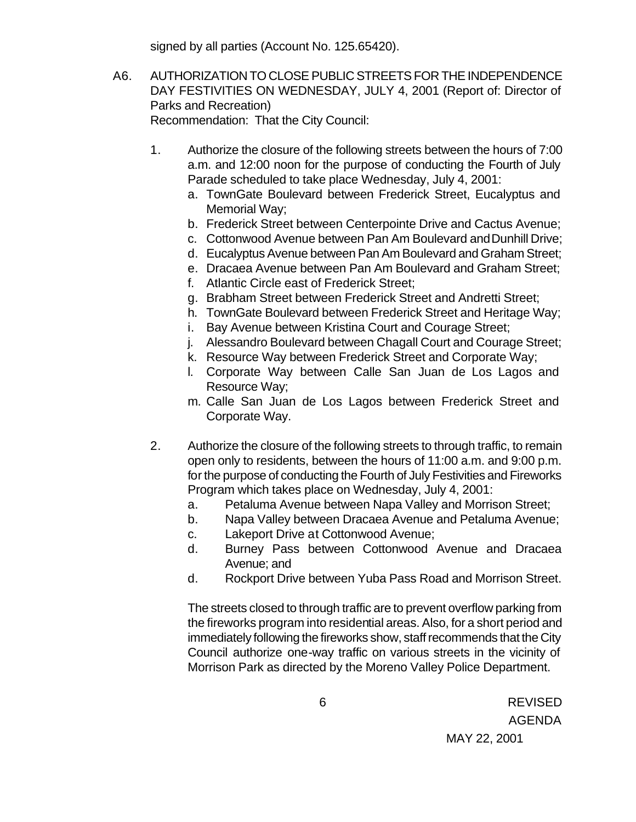signed by all parties (Account No. 125.65420).

- A6. AUTHORIZATION TO CLOSE PUBLIC STREETS FOR THE INDEPENDENCE DAY FESTIVITIES ON WEDNESDAY, JULY 4, 2001 (Report of: Director of Parks and Recreation) Recommendation: That the City Council:
	- 1. Authorize the closure of the following streets between the hours of 7:00 a.m. and 12:00 noon for the purpose of conducting the Fourth of July Parade scheduled to take place Wednesday, July 4, 2001:
		- a. TownGate Boulevard between Frederick Street, Eucalyptus and Memorial Way;
		- b. Frederick Street between Centerpointe Drive and Cactus Avenue;
		- c. Cottonwood Avenue between Pan Am Boulevard and Dunhill Drive;
		- d. Eucalyptus Avenue between Pan Am Boulevard and Graham Street;
		- e. Dracaea Avenue between Pan Am Boulevard and Graham Street;
		- f. Atlantic Circle east of Frederick Street;
		- g. Brabham Street between Frederick Street and Andretti Street;
		- h. TownGate Boulevard between Frederick Street and Heritage Way;
		- i. Bay Avenue between Kristina Court and Courage Street;
		- j. Alessandro Boulevard between Chagall Court and Courage Street;
		- k. Resource Way between Frederick Street and Corporate Way;
		- l. Corporate Way between Calle San Juan de Los Lagos and Resource Way;
		- m. Calle San Juan de Los Lagos between Frederick Street and Corporate Way.
	- 2. Authorize the closure of the following streets to through traffic, to remain open only to residents, between the hours of 11:00 a.m. and 9:00 p.m. for the purpose of conducting the Fourth of July Festivities and Fireworks Program which takes place on Wednesday, July 4, 2001:
		- a. Petaluma Avenue between Napa Valley and Morrison Street;
		- b. Napa Valley between Dracaea Avenue and Petaluma Avenue;
		- c. Lakeport Drive at Cottonwood Avenue;
		- d. Burney Pass between Cottonwood Avenue and Dracaea Avenue; and
		- d. Rockport Drive between Yuba Pass Road and Morrison Street.

The streets closed to through traffic are to prevent overflow parking from the fireworks program into residential areas. Also, for a short period and immediately following the fireworks show, staff recommends that the City Council authorize one-way traffic on various streets in the vicinity of Morrison Park as directed by the Moreno Valley Police Department.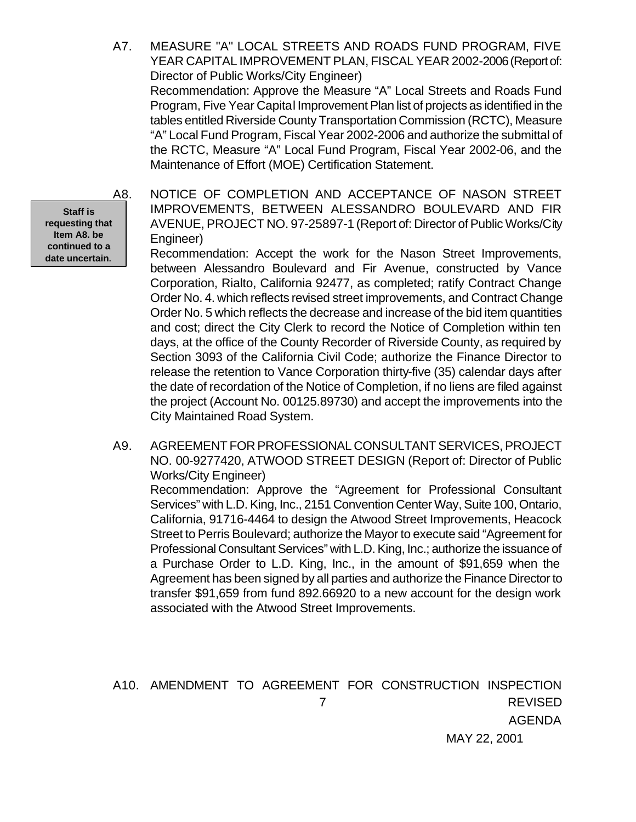A7. MEASURE "A" LOCAL STREETS AND ROADS FUND PROGRAM, FIVE YEAR CAPITAL IMPROVEMENT PLAN, FISCAL YEAR 2002-2006 (Report of: Director of Public Works/City Engineer)

Recommendation: Approve the Measure "A" Local Streets and Roads Fund Program, Five Year Capital Improvement Plan list of projects as identified in the tables entitled Riverside County Transportation Commission (RCTC), Measure "A" Local Fund Program, Fiscal Year 2002-2006 and authorize the submittal of the RCTC, Measure "A" Local Fund Program, Fiscal Year 2002-06, and the Maintenance of Effort (MOE) Certification Statement.

**Staff is requesting that Item A8. be continued to a date uncertain.**

A8. NOTICE OF COMPLETION AND ACCEPTANCE OF NASON STREET IMPROVEMENTS, BETWEEN ALESSANDRO BOULEVARD AND FIR AVENUE, PROJECT NO. 97-25897-1 (Report of: Director of Public Works/City Engineer)

Recommendation: Accept the work for the Nason Street Improvements, between Alessandro Boulevard and Fir Avenue, constructed by Vance Corporation, Rialto, California 92477, as completed; ratify Contract Change Order No. 4. which reflects revised street improvements, and Contract Change Order No. 5 which reflects the decrease and increase of the bid item quantities and cost; direct the City Clerk to record the Notice of Completion within ten days, at the office of the County Recorder of Riverside County, as required by Section 3093 of the California Civil Code; authorize the Finance Director to release the retention to Vance Corporation thirty-five (35) calendar days after the date of recordation of the Notice of Completion, if no liens are filed against the project (Account No. 00125.89730) and accept the improvements into the City Maintained Road System.

A9. AGREEMENT FOR PROFESSIONAL CONSULTANT SERVICES, PROJECT NO. 00-9277420, ATWOOD STREET DESIGN (Report of: Director of Public Works/City Engineer)

Recommendation: Approve the "Agreement for Professional Consultant Services" with L.D. King, Inc., 2151 Convention Center Way, Suite 100, Ontario, California, 91716-4464 to design the Atwood Street Improvements, Heacock Street to Perris Boulevard; authorize the Mayor to execute said "Agreement for Professional Consultant Services" with L.D. King, Inc.; authorize the issuance of a Purchase Order to L.D. King, Inc., in the amount of \$91,659 when the Agreement has been signed by all parties and authorize the Finance Director to transfer \$91,659 from fund 892.66920 to a new account for the design work associated with the Atwood Street Improvements.

 7 REVISED AGENDA MAY 22, 2001 A10. AMENDMENT TO AGREEMENT FOR CONSTRUCTION INSPECTION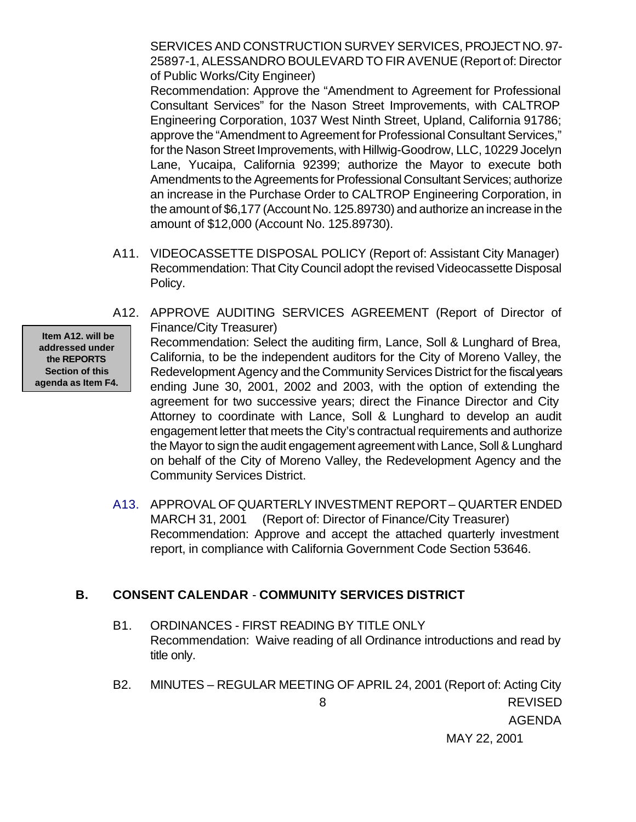SERVICES AND CONSTRUCTION SURVEY SERVICES, PROJECT NO. 97- 25897-1, ALESSANDRO BOULEVARD TO FIR AVENUE (Report of: Director of Public Works/City Engineer)

Recommendation: Approve the "Amendment to Agreement for Professional Consultant Services" for the Nason Street Improvements, with CALTROP Engineering Corporation, 1037 West Ninth Street, Upland, California 91786; approve the "Amendment to Agreement for Professional Consultant Services," for the Nason Street Improvements, with Hillwig-Goodrow, LLC, 10229 Jocelyn Lane, Yucaipa, California 92399; authorize the Mayor to execute both Amendments to the Agreements for Professional Consultant Services; authorize an increase in the Purchase Order to CALTROP Engineering Corporation, in the amount of \$6,177 (Account No. 125.89730) and authorize an increase in the amount of \$12,000 (Account No. 125.89730).

- A11. VIDEOCASSETTE DISPOSAL POLICY (Report of: Assistant City Manager) Recommendation: That City Council adopt the revised Videocassette Disposal Policy.
- A12. APPROVE AUDITING SERVICES AGREEMENT (Report of Director of Finance/City Treasurer)

 **Item A12. will be addressed under the REPORTS Section of this agenda as Item F4.** Recommendation: Select the auditing firm, Lance, Soll & Lunghard of Brea, California, to be the independent auditors for the City of Moreno Valley, the Redevelopment Agency and the Community Services District for the fiscal years ending June 30, 2001, 2002 and 2003, with the option of extending the agreement for two successive years; direct the Finance Director and City Attorney to coordinate with Lance, Soll & Lunghard to develop an audit engagement letter that meets the City's contractual requirements and authorize the Mayor to sign the audit engagement agreement with Lance, Soll & Lunghard on behalf of the City of Moreno Valley, the Redevelopment Agency and the Community Services District.

A13. APPROVAL OF QUARTERLY INVESTMENT REPORT – QUARTER ENDED MARCH 31, 2001 (Report of: Director of Finance/City Treasurer) Recommendation: Approve and accept the attached quarterly investment report, in compliance with California Government Code Section 53646.

### **B. CONSENT CALENDAR** - **COMMUNITY SERVICES DISTRICT**

- B1. ORDINANCES FIRST READING BY TITLE ONLY Recommendation: Waive reading of all Ordinance introductions and read by title only.
- 8 REVISED AGENDA B2. MINUTES – REGULAR MEETING OF APRIL 24, 2001 (Report of: Acting City

MAY 22, 2001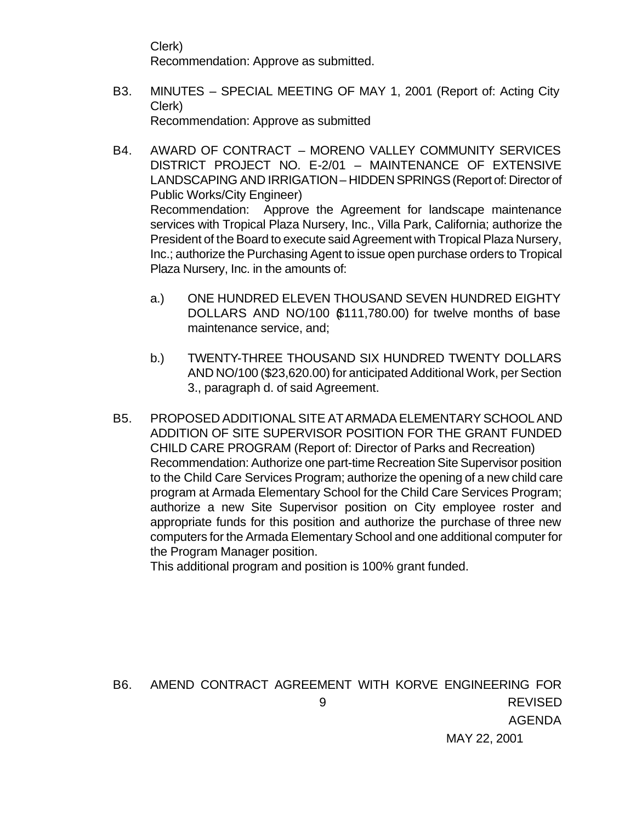Clerk) Recommendation: Approve as submitted.

- B3. MINUTES SPECIAL MEETING OF MAY 1, 2001 (Report of: Acting City Clerk) Recommendation: Approve as submitted
- B4. AWARD OF CONTRACT MORENO VALLEY COMMUNITY SERVICES DISTRICT PROJECT NO. E-2/01 – MAINTENANCE OF EXTENSIVE LANDSCAPING AND IRRIGATION – HIDDEN SPRINGS (Report of: Director of Public Works/City Engineer) Recommendation: Approve the Agreement for landscape maintenance services with Tropical Plaza Nursery, Inc., Villa Park, California; authorize the President of the Board to execute said Agreement with Tropical Plaza Nursery, Inc.; authorize the Purchasing Agent to issue open purchase orders to Tropical Plaza Nursery, Inc. in the amounts of:
	- a.) ONE HUNDRED ELEVEN THOUSAND SEVEN HUNDRED EIGHTY DOLLARS AND NO/100 \$111,780.00) for twelve months of base maintenance service, and;
	- b.) TWENTY-THREE THOUSAND SIX HUNDRED TWENTY DOLLARS AND NO/100 (\$23,620.00) for anticipated Additional Work, per Section 3., paragraph d. of said Agreement.
- B5. PROPOSED ADDITIONAL SITE AT ARMADA ELEMENTARY SCHOOL AND ADDITION OF SITE SUPERVISOR POSITION FOR THE GRANT FUNDED CHILD CARE PROGRAM (Report of: Director of Parks and Recreation) Recommendation: Authorize one part-time Recreation Site Supervisor position to the Child Care Services Program; authorize the opening of a new child care program at Armada Elementary School for the Child Care Services Program; authorize a new Site Supervisor position on City employee roster and appropriate funds for this position and authorize the purchase of three new computers for the Armada Elementary School and one additional computer for the Program Manager position.

This additional program and position is 100% grant funded.

 9 REVISED AGENDA MAY 22, 2001 B6. AMEND CONTRACT AGREEMENT WITH KORVE ENGINEERING FOR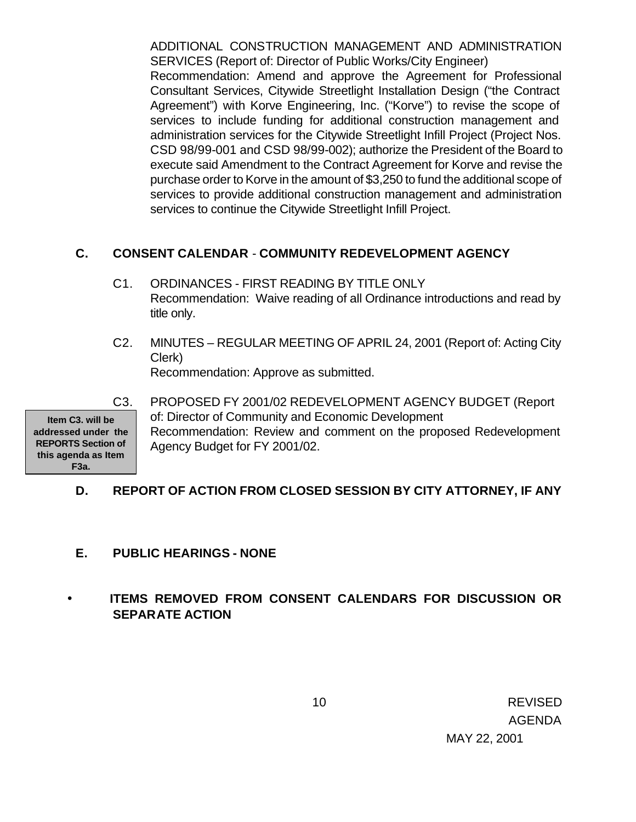ADDITIONAL CONSTRUCTION MANAGEMENT AND ADMINISTRATION SERVICES (Report of: Director of Public Works/City Engineer) Recommendation: Amend and approve the Agreement for Professional Consultant Services, Citywide Streetlight Installation Design ("the Contract Agreement") with Korve Engineering, Inc. ("Korve") to revise the scope of

services to include funding for additional construction management and administration services for the Citywide Streetlight Infill Project (Project Nos. CSD 98/99-001 and CSD 98/99-002); authorize the President of the Board to execute said Amendment to the Contract Agreement for Korve and revise the purchase order to Korve in the amount of \$3,250 to fund the additional scope of services to provide additional construction management and administration services to continue the Citywide Streetlight Infill Project.

## **C. CONSENT CALENDAR** - **COMMUNITY REDEVELOPMENT AGENCY**

- C1. ORDINANCES FIRST READING BY TITLE ONLY Recommendation: Waive reading of all Ordinance introductions and read by title only.
- C2. MINUTES REGULAR MEETING OF APRIL 24, 2001 (Report of: Acting City Clerk)

Recommendation: Approve as submitted.

**Item C3. will be addressed under the REPORTS Section of this agenda as Item F3a.**

C3. PROPOSED FY 2001/02 REDEVELOPMENT AGENCY BUDGET (Report of: Director of Community and Economic Development Recommendation: Review and comment on the proposed Redevelopment Agency Budget for FY 2001/02.

# **D. REPORT OF ACTION FROM CLOSED SESSION BY CITY ATTORNEY, IF ANY**

# **E. PUBLIC HEARINGS - NONE**

# • **ITEMS REMOVED FROM CONSENT CALENDARS FOR DISCUSSION OR SEPARATE ACTION**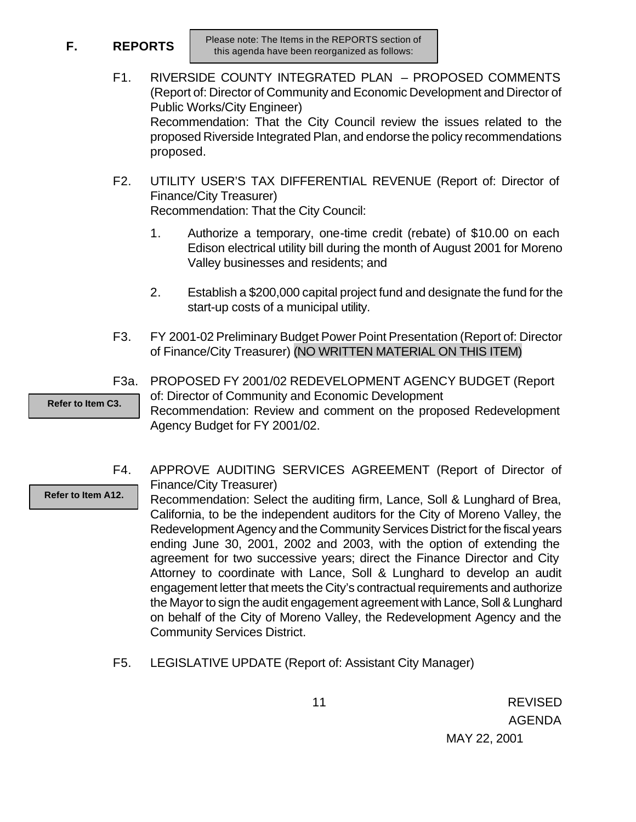**F. REPORTS**

- F1. RIVERSIDE COUNTY INTEGRATED PLAN PROPOSED COMMENTS (Report of: Director of Community and Economic Development and Director of Public Works/City Engineer) Recommendation: That the City Council review the issues related to the proposed Riverside Integrated Plan, and endorse the policy recommendations proposed.
- F2. UTILITY USER'S TAX DIFFERENTIAL REVENUE (Report of: Director of Finance/City Treasurer) Recommendation: That the City Council:
	- 1. Authorize a temporary, one-time credit (rebate) of \$10.00 on each Edison electrical utility bill during the month of August 2001 for Moreno Valley businesses and residents; and
	- 2. Establish a \$200,000 capital project fund and designate the fund for the start-up costs of a municipal utility.
- F3. FY 2001-02 Preliminary Budget Power Point Presentation (Report of: Director of Finance/City Treasurer) (NO WRITTEN MATERIAL ON THIS ITEM)
- F3a. PROPOSED FY 2001/02 REDEVELOPMENT AGENCY BUDGET (Report of: Director of Community and Economic Development **Refer to Item C3.**

Recommendation: Review and comment on the proposed Redevelopment Agency Budget for FY 2001/02.

F4. APPROVE AUDITING SERVICES AGREEMENT (Report of Director of Finance/City Treasurer) **Refer to Item A12.**

Recommendation: Select the auditing firm, Lance, Soll & Lunghard of Brea, California, to be the independent auditors for the City of Moreno Valley, the Redevelopment Agency and the Community Services District for the fiscal years ending June 30, 2001, 2002 and 2003, with the option of extending the agreement for two successive years; direct the Finance Director and City Attorney to coordinate with Lance, Soll & Lunghard to develop an audit engagement letter that meets the City's contractual requirements and authorize the Mayor to sign the audit engagement agreement with Lance, Soll & Lunghard on behalf of the City of Moreno Valley, the Redevelopment Agency and the Community Services District.

F5. LEGISLATIVE UPDATE (Report of: Assistant City Manager)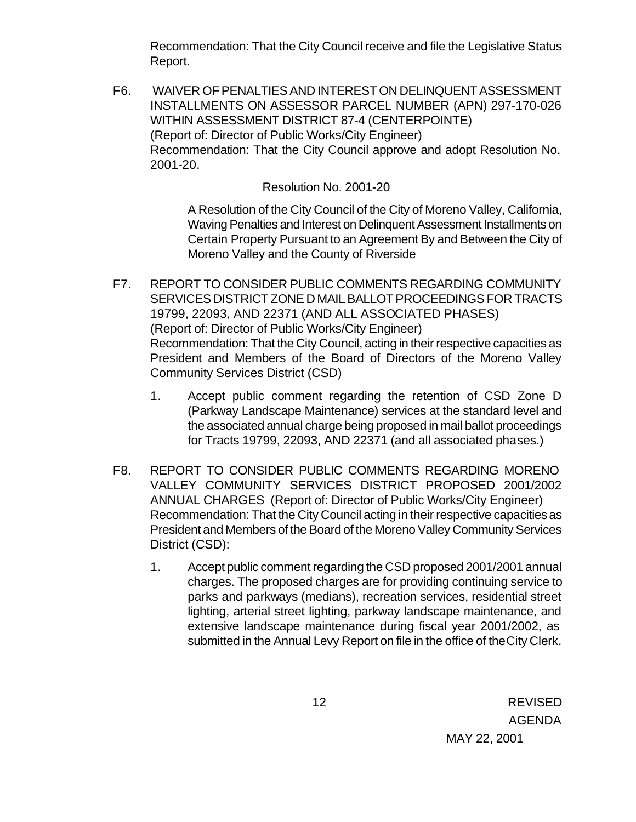Recommendation: That the City Council receive and file the Legislative Status Report.

F6. WAIVER OF PENALTIES AND INTEREST ON DELINQUENT ASSESSMENT INSTALLMENTS ON ASSESSOR PARCEL NUMBER (APN) 297-170-026 WITHIN ASSESSMENT DISTRICT 87-4 (CENTERPOINTE) (Report of: Director of Public Works/City Engineer) Recommendation: That the City Council approve and adopt Resolution No. 2001-20.

### Resolution No. 2001-20

A Resolution of the City Council of the City of Moreno Valley, California, Waving Penalties and Interest on Delinquent Assessment Installments on Certain Property Pursuant to an Agreement By and Between the City of Moreno Valley and the County of Riverside

- F7. REPORT TO CONSIDER PUBLIC COMMENTS REGARDING COMMUNITY SERVICES DISTRICT ZONE D MAIL BALLOT PROCEEDINGS FOR TRACTS 19799, 22093, AND 22371 (AND ALL ASSOCIATED PHASES) (Report of: Director of Public Works/City Engineer) Recommendation: That the City Council, acting in their respective capacities as President and Members of the Board of Directors of the Moreno Valley Community Services District (CSD)
	- 1. Accept public comment regarding the retention of CSD Zone D (Parkway Landscape Maintenance) services at the standard level and the associated annual charge being proposed in mail ballot proceedings for Tracts 19799, 22093, AND 22371 (and all associated phases.)
- F8. REPORT TO CONSIDER PUBLIC COMMENTS REGARDING MORENO VALLEY COMMUNITY SERVICES DISTRICT PROPOSED 2001/2002 ANNUAL CHARGES (Report of: Director of Public Works/City Engineer) Recommendation: That the City Council acting in their respective capacities as President and Members of the Board of the Moreno Valley Community Services District (CSD):
	- 1. Accept public comment regarding the CSD proposed 2001/2001 annual charges. The proposed charges are for providing continuing service to parks and parkways (medians), recreation services, residential street lighting, arterial street lighting, parkway landscape maintenance, and extensive landscape maintenance during fiscal year 2001/2002, as submitted in the Annual Levy Report on file in the office of the City Clerk.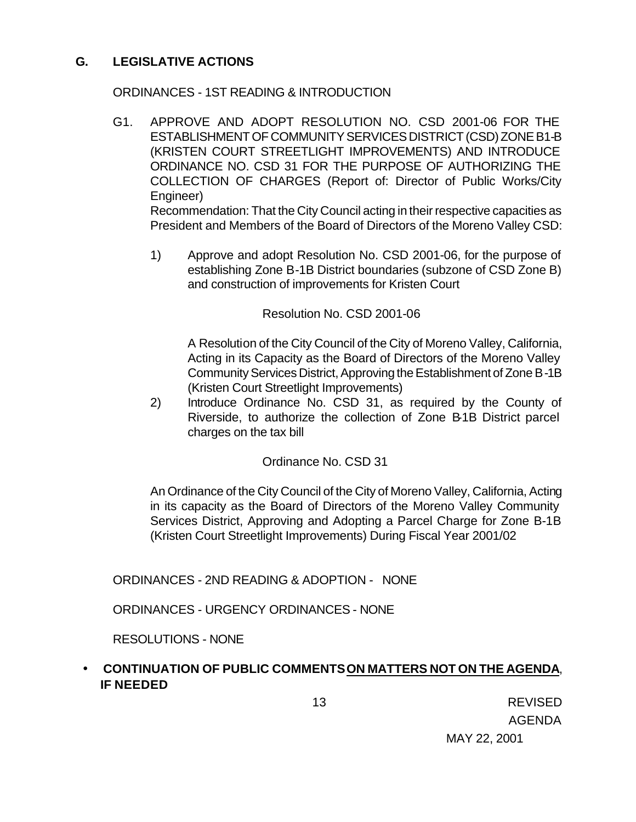### **G. LEGISLATIVE ACTIONS**

### ORDINANCES - 1ST READING & INTRODUCTION

G1. APPROVE AND ADOPT RESOLUTION NO. CSD 2001-06 FOR THE ESTABLISHMENT OF COMMUNITY SERVICES DISTRICT (CSD) ZONE B1-B (KRISTEN COURT STREETLIGHT IMPROVEMENTS) AND INTRODUCE ORDINANCE NO. CSD 31 FOR THE PURPOSE OF AUTHORIZING THE COLLECTION OF CHARGES (Report of: Director of Public Works/City Engineer)

Recommendation: That the City Council acting in their respective capacities as President and Members of the Board of Directors of the Moreno Valley CSD:

1) Approve and adopt Resolution No. CSD 2001-06, for the purpose of establishing Zone B-1B District boundaries (subzone of CSD Zone B) and construction of improvements for Kristen Court

#### Resolution No. CSD 2001-06

A Resolution of the City Council of the City of Moreno Valley, California, Acting in its Capacity as the Board of Directors of the Moreno Valley Community Services District, Approving the Establishment of Zone B-1B (Kristen Court Streetlight Improvements)

2) Introduce Ordinance No. CSD 31, as required by the County of Riverside, to authorize the collection of Zone B-1B District parcel charges on the tax bill

### Ordinance No. CSD 31

An Ordinance of the City Council of the City of Moreno Valley, California, Acting in its capacity as the Board of Directors of the Moreno Valley Community Services District, Approving and Adopting a Parcel Charge for Zone B-1B (Kristen Court Streetlight Improvements) During Fiscal Year 2001/02

ORDINANCES - 2ND READING & ADOPTION - NONE

ORDINANCES - URGENCY ORDINANCES - NONE

RESOLUTIONS - NONE

### • **CONTINUATION OF PUBLIC COMMENTS ON MATTERS NOT ON THE AGENDA**, **IF NEEDED**